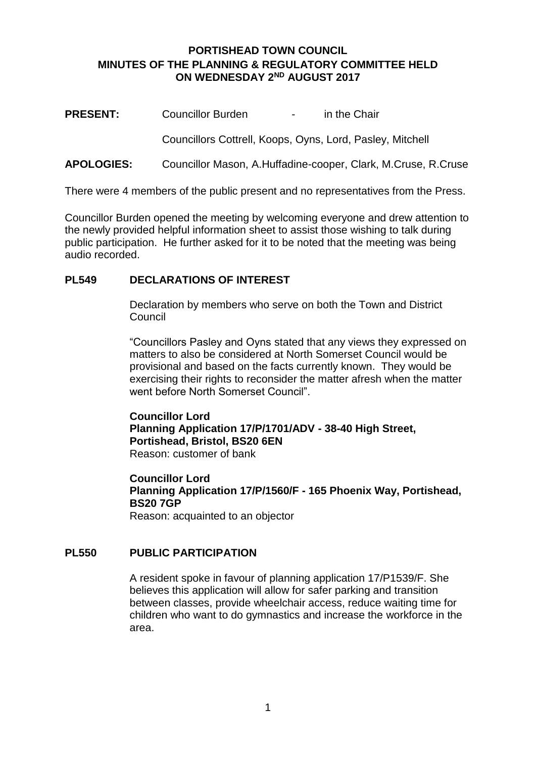# **PORTISHEAD TOWN COUNCIL MINUTES OF THE PLANNING & REGULATORY COMMITTEE HELD ON WEDNESDAY 2ND AUGUST 2017**

**PRESENT:** Councillor Burden - in the Chair Councillors Cottrell, Koops, Oyns, Lord, Pasley, Mitchell

# **APOLOGIES:** Councillor Mason, A.Huffadine-cooper, Clark, M.Cruse, R.Cruse

There were 4 members of the public present and no representatives from the Press.

Councillor Burden opened the meeting by welcoming everyone and drew attention to the newly provided helpful information sheet to assist those wishing to talk during public participation. He further asked for it to be noted that the meeting was being audio recorded.

# **PL549 DECLARATIONS OF INTEREST**

Declaration by members who serve on both the Town and District Council

"Councillors Pasley and Oyns stated that any views they expressed on matters to also be considered at North Somerset Council would be provisional and based on the facts currently known. They would be exercising their rights to reconsider the matter afresh when the matter went before North Somerset Council".

**Councillor Lord Planning Application 17/P/1701/ADV - 38-40 High Street, Portishead, Bristol, BS20 6EN** Reason: customer of bank

**Councillor Lord Planning Application 17/P/1560/F - 165 Phoenix Way, Portishead, BS20 7GP** Reason: acquainted to an objector

#### **PL550 PUBLIC PARTICIPATION**

A resident spoke in favour of planning application 17/P1539/F. She believes this application will allow for safer parking and transition between classes, provide wheelchair access, reduce waiting time for children who want to do gymnastics and increase the workforce in the area.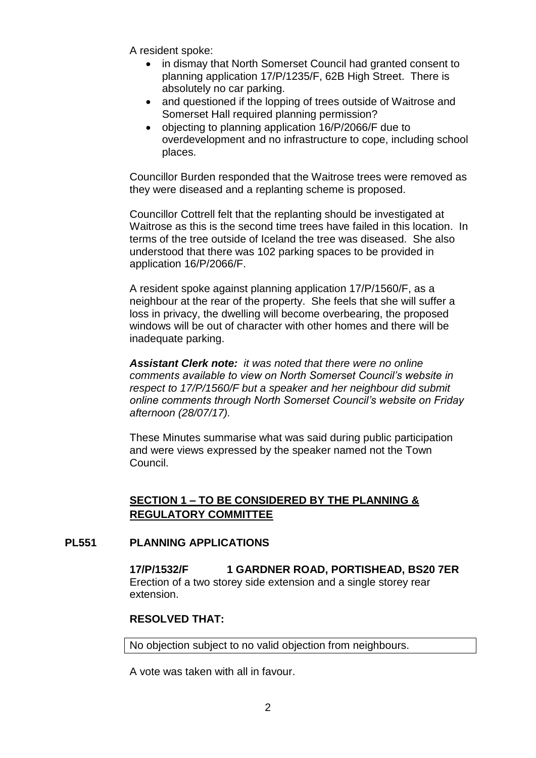A resident spoke:

- in dismay that North Somerset Council had granted consent to planning application 17/P/1235/F, 62B High Street. There is absolutely no car parking.
- and questioned if the lopping of trees outside of Waitrose and Somerset Hall required planning permission?
- objecting to planning application 16/P/2066/F due to overdevelopment and no infrastructure to cope, including school places.

Councillor Burden responded that the Waitrose trees were removed as they were diseased and a replanting scheme is proposed.

Councillor Cottrell felt that the replanting should be investigated at Waitrose as this is the second time trees have failed in this location. In terms of the tree outside of Iceland the tree was diseased. She also understood that there was 102 parking spaces to be provided in application 16/P/2066/F.

A resident spoke against planning application 17/P/1560/F, as a neighbour at the rear of the property. She feels that she will suffer a loss in privacy, the dwelling will become overbearing, the proposed windows will be out of character with other homes and there will be inadequate parking.

*Assistant Clerk note: it was noted that there were no online comments available to view on North Somerset Council's website in respect to 17/P/1560/F but a speaker and her neighbour did submit online comments through North Somerset Council's website on Friday afternoon (28/07/17).*

These Minutes summarise what was said during public participation and were views expressed by the speaker named not the Town Council.

# **SECTION 1 – TO BE CONSIDERED BY THE PLANNING & REGULATORY COMMITTEE**

#### **PL551 PLANNING APPLICATIONS**

**17/P/1532/F 1 GARDNER ROAD, PORTISHEAD, BS20 7ER** Erection of a two storey side extension and a single storey rear extension.

# **RESOLVED THAT:**

No objection subject to no valid objection from neighbours.

A vote was taken with all in favour.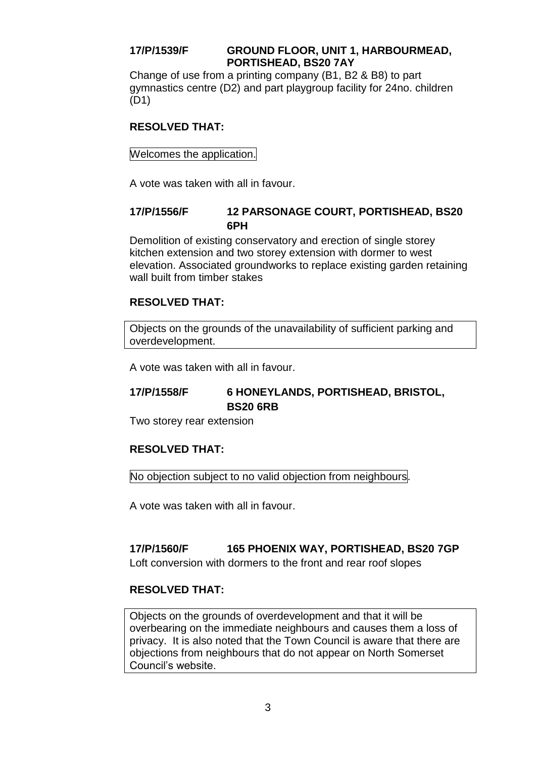# **17/P/1539/F GROUND FLOOR, UNIT 1, HARBOURMEAD, PORTISHEAD, BS20 7AY**

Change of use from a printing company (B1, B2 & B8) to part gymnastics centre (D2) and part playgroup facility for 24no. children (D1)

# **RESOLVED THAT:**

Welcomes the application.

A vote was taken with all in favour.

# **17/P/1556/F 12 PARSONAGE COURT, PORTISHEAD, BS20 6PH**

Demolition of existing conservatory and erection of single storey kitchen extension and two storey extension with dormer to west elevation. Associated groundworks to replace existing garden retaining wall built from timber stakes

# **RESOLVED THAT:**

Objects on the grounds of the unavailability of sufficient parking and overdevelopment.

A vote was taken with all in favour.

# **17/P/1558/F 6 HONEYLANDS, PORTISHEAD, BRISTOL, BS20 6RB**

Two storey rear extension

# **RESOLVED THAT:**

No objection subject to no valid objection from neighbours.

A vote was taken with all in favour.

# **17/P/1560/F 165 PHOENIX WAY, PORTISHEAD, BS20 7GP**

Loft conversion with dormers to the front and rear roof slopes

# **RESOLVED THAT:**

Objects on the grounds of overdevelopment and that it will be overbearing on the immediate neighbours and causes them a loss of privacy. It is also noted that the Town Council is aware that there are objections from neighbours that do not appear on North Somerset Council's website.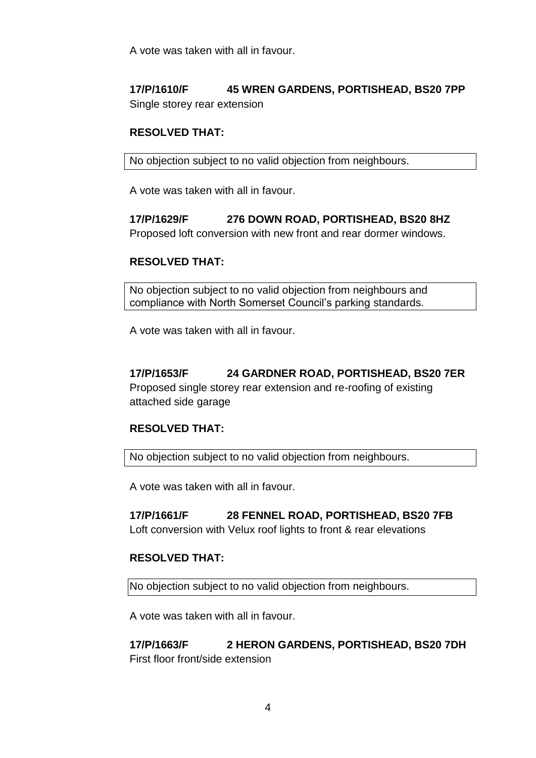A vote was taken with all in favour.

# **17/P/1610/F 45 WREN GARDENS, PORTISHEAD, BS20 7PP** Single storey rear extension

# **RESOLVED THAT:**

No objection subject to no valid objection from neighbours.

A vote was taken with all in favour.

**17/P/1629/F 276 DOWN ROAD, PORTISHEAD, BS20 8HZ** Proposed loft conversion with new front and rear dormer windows.

# **RESOLVED THAT:**

No objection subject to no valid objection from neighbours and compliance with North Somerset Council's parking standards.

A vote was taken with all in favour.

# **17/P/1653/F 24 GARDNER ROAD, PORTISHEAD, BS20 7ER** Proposed single storey rear extension and re-roofing of existing

attached side garage

#### **RESOLVED THAT:**

No objection subject to no valid objection from neighbours.

A vote was taken with all in favour.

# **17/P/1661/F 28 FENNEL ROAD, PORTISHEAD, BS20 7FB**

Loft conversion with Velux roof lights to front & rear elevations

#### **RESOLVED THAT:**

No objection subject to no valid objection from neighbours.

A vote was taken with all in favour.

**17/P/1663/F 2 HERON GARDENS, PORTISHEAD, BS20 7DH** First floor front/side extension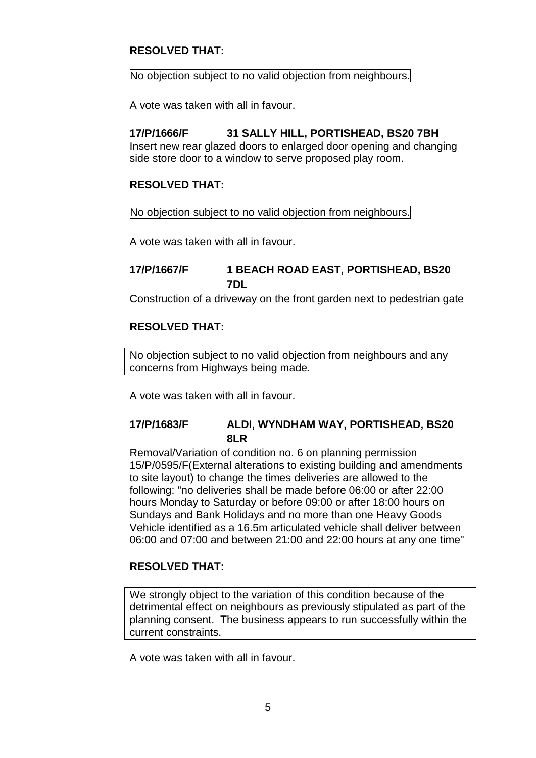# **RESOLVED THAT:**

#### No objection subject to no valid objection from neighbours.

A vote was taken with all in favour.

# **17/P/1666/F 31 SALLY HILL, PORTISHEAD, BS20 7BH**

Insert new rear glazed doors to enlarged door opening and changing side store door to a window to serve proposed play room.

# **RESOLVED THAT:**

#### No objection subject to no valid objection from neighbours.

A vote was taken with all in favour.

# **17/P/1667/F 1 BEACH ROAD EAST, PORTISHEAD, BS20 7DL**

Construction of a driveway on the front garden next to pedestrian gate

#### **RESOLVED THAT:**

No objection subject to no valid objection from neighbours and any concerns from Highways being made.

A vote was taken with all in favour.

# **17/P/1683/F ALDI, WYNDHAM WAY, PORTISHEAD, BS20 8LR**

Removal/Variation of condition no. 6 on planning permission 15/P/0595/F(External alterations to existing building and amendments to site layout) to change the times deliveries are allowed to the following: "no deliveries shall be made before 06:00 or after 22:00 hours Monday to Saturday or before 09:00 or after 18:00 hours on Sundays and Bank Holidays and no more than one Heavy Goods Vehicle identified as a 16.5m articulated vehicle shall deliver between 06:00 and 07:00 and between 21:00 and 22:00 hours at any one time"

#### **RESOLVED THAT:**

We strongly object to the variation of this condition because of the detrimental effect on neighbours as previously stipulated as part of the planning consent. The business appears to run successfully within the current constraints.

A vote was taken with all in favour.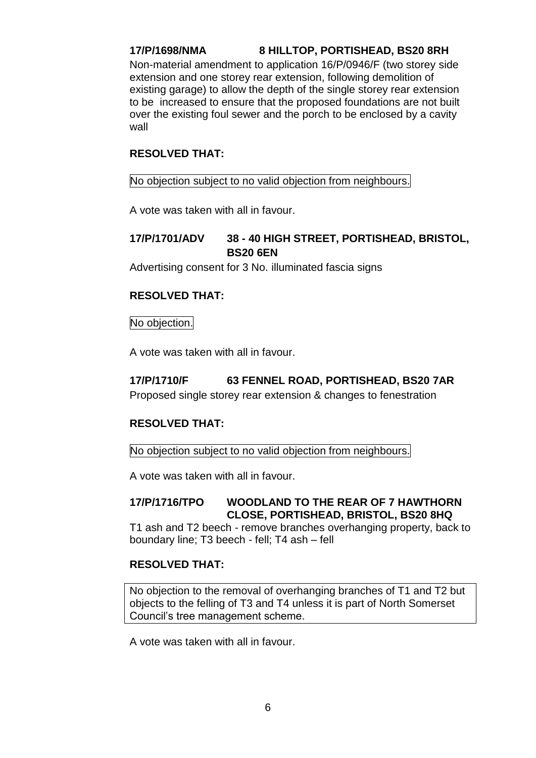# **17/P/1698/NMA 8 HILLTOP, PORTISHEAD, BS20 8RH**

Non-material amendment to application 16/P/0946/F (two storey side extension and one storey rear extension, following demolition of existing garage) to allow the depth of the single storey rear extension to be increased to ensure that the proposed foundations are not built over the existing foul sewer and the porch to be enclosed by a cavity wall

#### **RESOLVED THAT:**

#### No objection subject to no valid objection from neighbours.

A vote was taken with all in favour.

# **17/P/1701/ADV 38 - 40 HIGH STREET, PORTISHEAD, BRISTOL, BS20 6EN**

Advertising consent for 3 No. illuminated fascia signs

# **RESOLVED THAT:**

#### No objection.

A vote was taken with all in favour.

# **17/P/1710/F 63 FENNEL ROAD, PORTISHEAD, BS20 7AR**

Proposed single storey rear extension & changes to fenestration

# **RESOLVED THAT:**

No objection subject to no valid objection from neighbours.

A vote was taken with all in favour.

#### **17/P/1716/TPO WOODLAND TO THE REAR OF 7 HAWTHORN CLOSE, PORTISHEAD, BRISTOL, BS20 8HQ**

T1 ash and T2 beech - remove branches overhanging property, back to boundary line; T3 beech - fell; T4 ash – fell

#### **RESOLVED THAT:**

No objection to the removal of overhanging branches of T1 and T2 but objects to the felling of T3 and T4 unless it is part of North Somerset Council's tree management scheme.

A vote was taken with all in favour.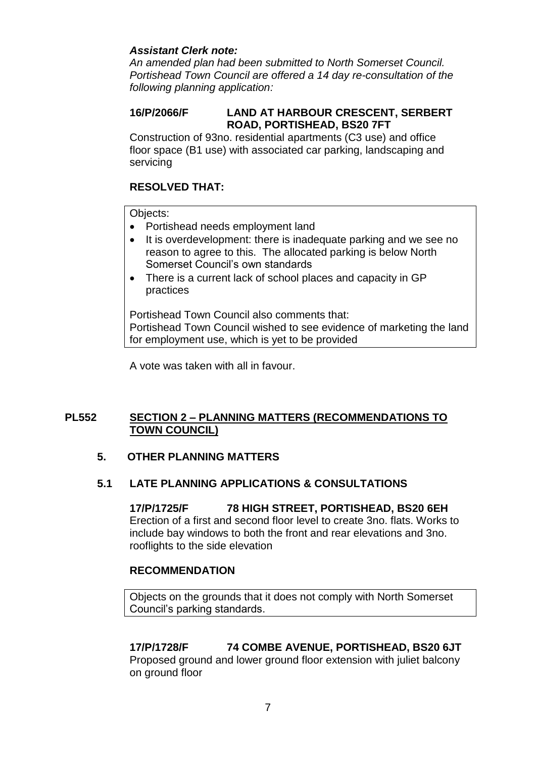# *Assistant Clerk note:*

*An amended plan had been submitted to North Somerset Council. Portishead Town Council are offered a 14 day re-consultation of the following planning application:*

# **16/P/2066/F LAND AT HARBOUR CRESCENT, SERBERT ROAD, PORTISHEAD, BS20 7FT**

Construction of 93no. residential apartments (C3 use) and office floor space (B1 use) with associated car parking, landscaping and servicing

# **RESOLVED THAT:**

Objects:

- Portishead needs employment land
- It is overdevelopment: there is inadequate parking and we see no reason to agree to this. The allocated parking is below North Somerset Council's own standards
- There is a current lack of school places and capacity in GP practices

Portishead Town Council also comments that: Portishead Town Council wished to see evidence of marketing the land for employment use, which is yet to be provided

A vote was taken with all in favour.

# **PL552 SECTION 2 – PLANNING MATTERS (RECOMMENDATIONS TO TOWN COUNCIL)**

#### **5. OTHER PLANNING MATTERS**

#### **5.1 LATE PLANNING APPLICATIONS & CONSULTATIONS**

**17/P/1725/F 78 HIGH STREET, PORTISHEAD, BS20 6EH** Erection of a first and second floor level to create 3no. flats. Works to include bay windows to both the front and rear elevations and 3no. rooflights to the side elevation

#### **RECOMMENDATION**

Objects on the grounds that it does not comply with North Somerset Council's parking standards.

# **17/P/1728/F 74 COMBE AVENUE, PORTISHEAD, BS20 6JT**

Proposed ground and lower ground floor extension with juliet balcony on ground floor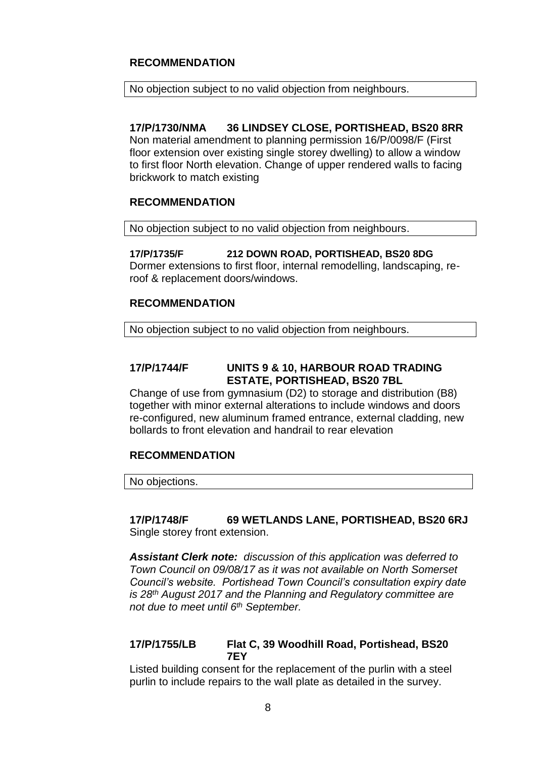# **RECOMMENDATION**

#### No objection subject to no valid objection from neighbours.

**17/P/1730/NMA 36 LINDSEY CLOSE, PORTISHEAD, BS20 8RR** Non material amendment to planning permission 16/P/0098/F (First floor extension over existing single storey dwelling) to allow a window to first floor North elevation. Change of upper rendered walls to facing brickwork to match existing

#### **RECOMMENDATION**

No objection subject to no valid objection from neighbours.

#### **17/P/1735/F 212 DOWN ROAD, PORTISHEAD, BS20 8DG** Dormer extensions to first floor, internal remodelling, landscaping, re-

roof & replacement doors/windows.

# **RECOMMENDATION**

No objection subject to no valid objection from neighbours.

# **17/P/1744/F UNITS 9 & 10, HARBOUR ROAD TRADING ESTATE, PORTISHEAD, BS20 7BL**

Change of use from gymnasium (D2) to storage and distribution (B8) together with minor external alterations to include windows and doors re-configured, new aluminum framed entrance, external cladding, new bollards to front elevation and handrail to rear elevation

#### **RECOMMENDATION**

No objections.

#### **17/P/1748/F 69 WETLANDS LANE, PORTISHEAD, BS20 6RJ** Single storey front extension.

*Assistant Clerk note: discussion of this application was deferred to Town Council on 09/08/17 as it was not available on North Somerset Council's website. Portishead Town Council's consultation expiry date is 28th August 2017 and the Planning and Regulatory committee are not due to meet until 6th September.*

#### **17/P/1755/LB Flat C, 39 Woodhill Road, Portishead, BS20 7EY**

Listed building consent for the replacement of the purlin with a steel purlin to include repairs to the wall plate as detailed in the survey.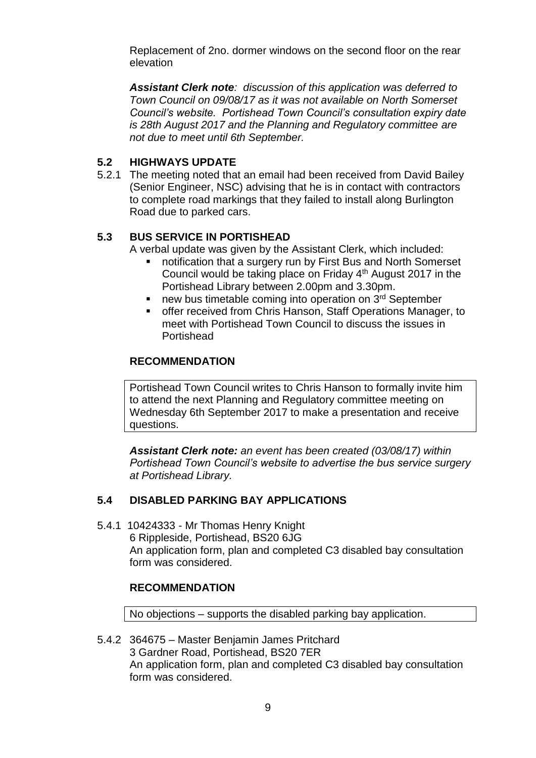Replacement of 2no. dormer windows on the second floor on the rear elevation

*Assistant Clerk note: discussion of this application was deferred to Town Council on 09/08/17 as it was not available on North Somerset Council's website. Portishead Town Council's consultation expiry date is 28th August 2017 and the Planning and Regulatory committee are not due to meet until 6th September.*

# **5.2 HIGHWAYS UPDATE**

5.2.1 The meeting noted that an email had been received from David Bailey (Senior Engineer, NSC) advising that he is in contact with contractors to complete road markings that they failed to install along Burlington Road due to parked cars.

# **5.3 BUS SERVICE IN PORTISHEAD**

A verbal update was given by the Assistant Clerk, which included:

- notification that a surgery run by First Bus and North Somerset Council would be taking place on Friday 4th August 2017 in the Portishead Library between 2.00pm and 3.30pm.
- new bus timetable coming into operation on  $3<sup>rd</sup>$  September
- offer received from Chris Hanson, Staff Operations Manager, to meet with Portishead Town Council to discuss the issues in Portishead

#### **RECOMMENDATION**

Portishead Town Council writes to Chris Hanson to formally invite him to attend the next Planning and Regulatory committee meeting on Wednesday 6th September 2017 to make a presentation and receive questions.

*Assistant Clerk note: an event has been created (03/08/17) within Portishead Town Council's website to advertise the bus service surgery at Portishead Library.*

# **5.4 DISABLED PARKING BAY APPLICATIONS**

5.4.1 10424333 - Mr Thomas Henry Knight 6 Rippleside, Portishead, BS20 6JG An application form, plan and completed C3 disabled bay consultation form was considered.

#### **RECOMMENDATION**

No objections – supports the disabled parking bay application.

5.4.2 364675 – Master Benjamin James Pritchard 3 Gardner Road, Portishead, BS20 7ER An application form, plan and completed C3 disabled bay consultation form was considered.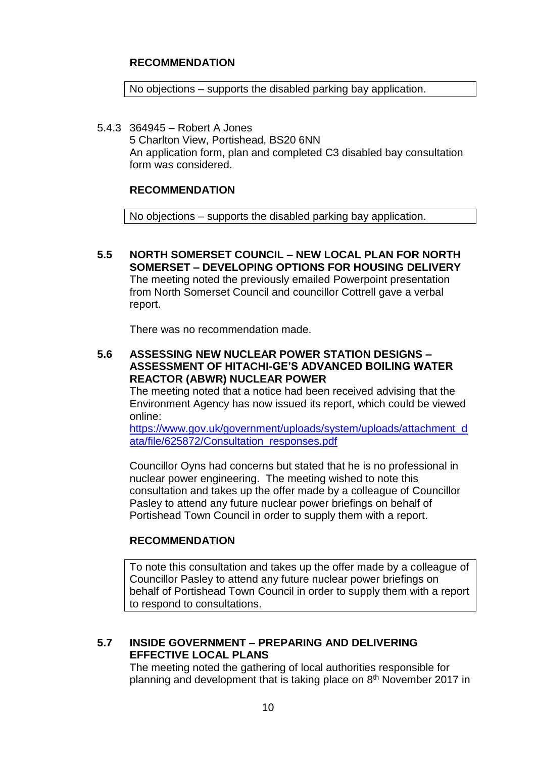# **RECOMMENDATION**

No objections – supports the disabled parking bay application.

5.4.3 364945 – Robert A Jones 5 Charlton View, Portishead, BS20 6NN An application form, plan and completed C3 disabled bay consultation form was considered.

#### **RECOMMENDATION**

No objections – supports the disabled parking bay application.

**5.5 NORTH SOMERSET COUNCIL – NEW LOCAL PLAN FOR NORTH SOMERSET – DEVELOPING OPTIONS FOR HOUSING DELIVERY**  The meeting noted the previously emailed Powerpoint presentation from North Somerset Council and councillor Cottrell gave a verbal report.

There was no recommendation made.

# **5.6 ASSESSING NEW NUCLEAR POWER STATION DESIGNS – ASSESSMENT OF HITACHI-GE'S ADVANCED BOILING WATER REACTOR (ABWR) NUCLEAR POWER**

The meeting noted that a notice had been received advising that the Environment Agency has now issued its report, which could be viewed online:

[https://www.gov.uk/government/uploads/system/uploads/attachment\\_d](https://www.gov.uk/government/uploads/system/uploads/attachment_data/file/625872/Consultation_responses.pdf) [ata/file/625872/Consultation\\_responses.pdf](https://www.gov.uk/government/uploads/system/uploads/attachment_data/file/625872/Consultation_responses.pdf)

Councillor Oyns had concerns but stated that he is no professional in nuclear power engineering. The meeting wished to note this consultation and takes up the offer made by a colleague of Councillor Pasley to attend any future nuclear power briefings on behalf of Portishead Town Council in order to supply them with a report.

#### **RECOMMENDATION**

To note this consultation and takes up the offer made by a colleague of Councillor Pasley to attend any future nuclear power briefings on behalf of Portishead Town Council in order to supply them with a report to respond to consultations.

#### **5.7 INSIDE GOVERNMENT – PREPARING AND DELIVERING EFFECTIVE LOCAL PLANS**

The meeting noted the gathering of local authorities responsible for planning and development that is taking place on 8<sup>th</sup> November 2017 in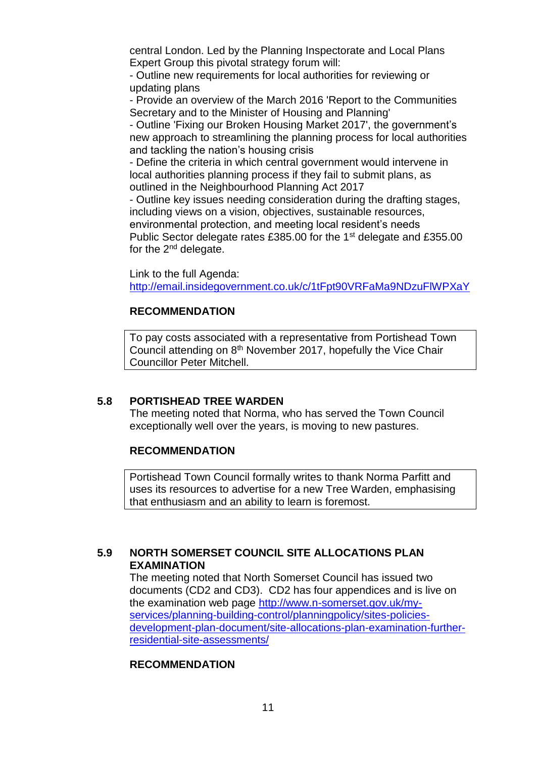central London. Led by the Planning Inspectorate and Local Plans Expert Group this pivotal strategy forum will:

- Outline new requirements for local authorities for reviewing or updating plans

- Provide an overview of the March 2016 'Report to the Communities Secretary and to the Minister of Housing and Planning'

- Outline 'Fixing our Broken Housing Market 2017', the government's new approach to streamlining the planning process for local authorities and tackling the nation's housing crisis

- Define the criteria in which central government would intervene in local authorities planning process if they fail to submit plans, as outlined in the Neighbourhood Planning Act 2017

- Outline key issues needing consideration during the drafting stages, including views on a vision, objectives, sustainable resources, environmental protection, and meeting local resident's needs Public Sector delegate rates £385.00 for the 1<sup>st</sup> delegate and £355.00 for the  $2<sup>nd</sup>$  delegate.

Link to the full Agenda:

<http://email.insidegovernment.co.uk/c/1tFpt90VRFaMa9NDzuFlWPXaY>

# **RECOMMENDATION**

To pay costs associated with a representative from Portishead Town Council attending on 8<sup>th</sup> November 2017, hopefully the Vice Chair Councillor Peter Mitchell.

#### **5.8 PORTISHEAD TREE WARDEN**

The meeting noted that Norma, who has served the Town Council exceptionally well over the years, is moving to new pastures.

#### **RECOMMENDATION**

Portishead Town Council formally writes to thank Norma Parfitt and uses its resources to advertise for a new Tree Warden, emphasising that enthusiasm and an ability to learn is foremost.

# **5.9 NORTH SOMERSET COUNCIL SITE ALLOCATIONS PLAN EXAMINATION**

The meeting noted that North Somerset Council has issued two documents (CD2 and CD3). CD2 has four appendices and is live on the examination web page [http://www.n-somerset.gov.uk/my](http://www.n-somerset.gov.uk/my-services/planning-building-control/planningpolicy/sites-policies-development-plan-document/site-allocations-plan-examination-further-residential-site-assessments/)[services/planning-building-control/planningpolicy/sites-policies](http://www.n-somerset.gov.uk/my-services/planning-building-control/planningpolicy/sites-policies-development-plan-document/site-allocations-plan-examination-further-residential-site-assessments/)[development-plan-document/site-allocations-plan-examination-further](http://www.n-somerset.gov.uk/my-services/planning-building-control/planningpolicy/sites-policies-development-plan-document/site-allocations-plan-examination-further-residential-site-assessments/)[residential-site-assessments/](http://www.n-somerset.gov.uk/my-services/planning-building-control/planningpolicy/sites-policies-development-plan-document/site-allocations-plan-examination-further-residential-site-assessments/)

#### **RECOMMENDATION**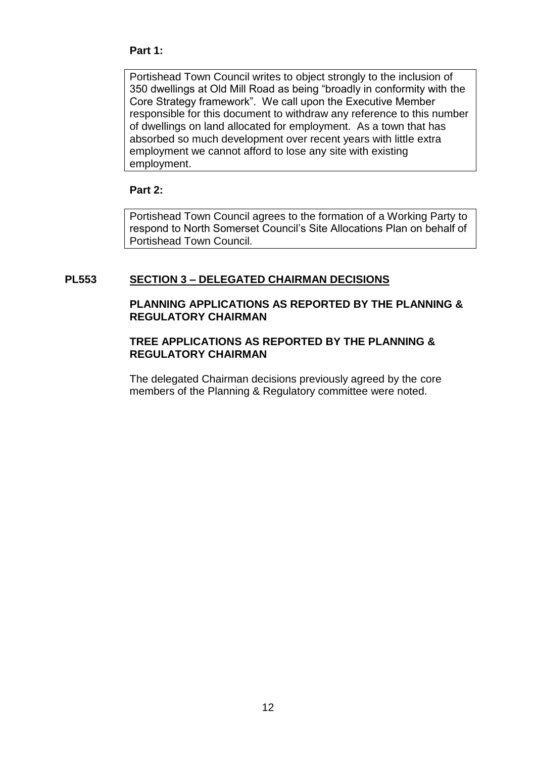#### **Part 1:**

Portishead Town Council writes to object strongly to the inclusion of 350 dwellings at Old Mill Road as being "broadly in conformity with the Core Strategy framework". We call upon the Executive Member responsible for this document to withdraw any reference to this number of dwellings on land allocated for employment. As a town that has absorbed so much development over recent years with little extra employment we cannot afford to lose any site with existing employment.

#### **Part 2:**

Portishead Town Council agrees to the formation of a Working Party to respond to North Somerset Council's Site Allocations Plan on behalf of Portishead Town Council.

# **PL553 SECTION 3 – DELEGATED CHAIRMAN DECISIONS**

#### **PLANNING APPLICATIONS AS REPORTED BY THE PLANNING & REGULATORY CHAIRMAN**

#### **TREE APPLICATIONS AS REPORTED BY THE PLANNING & REGULATORY CHAIRMAN**

The delegated Chairman decisions previously agreed by the core members of the Planning & Regulatory committee were noted.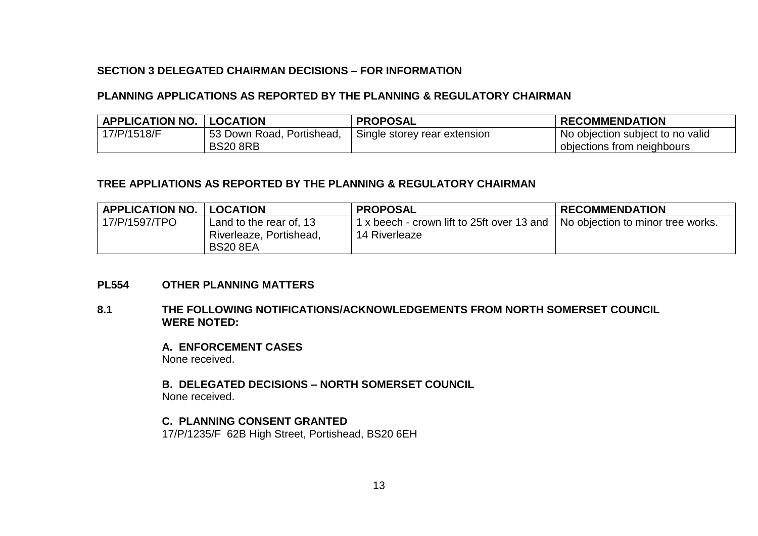#### **SECTION 3 DELEGATED CHAIRMAN DECISIONS – FOR INFORMATION**

#### **PLANNING APPLICATIONS AS REPORTED BY THE PLANNING & REGULATORY CHAIRMAN**

| <b>APPLICATION NO.</b> | <b>LOCATION</b>           | <b>PROPOSAL</b>              | <b>RECOMMENDATION</b>            |
|------------------------|---------------------------|------------------------------|----------------------------------|
| 17/P/1518/F            | 53 Down Road, Portishead, | Single storey rear extension | No objection subject to no valid |
|                        | <b>BS20 8RB</b>           |                              | objections from neighbours       |

#### **TREE APPLIATIONS AS REPORTED BY THE PLANNING & REGULATORY CHAIRMAN**

| <b>APPLICATION NO.</b> | <b>LOCATION</b>                                                       | <b>PROPOSAL</b>                                             | <b>RECOMMENDATION</b>             |
|------------------------|-----------------------------------------------------------------------|-------------------------------------------------------------|-----------------------------------|
| 17/P/1597/TPO          | Land to the rear of, 13<br>Riverleaze, Portishead,<br><b>BS20 8EA</b> | 1 x beech - crown lift to 25ft over 13 and<br>14 Riverleaze | No objection to minor tree works. |

#### **PL554 OTHER PLANNING MATTERS**

#### **8.1 THE FOLLOWING NOTIFICATIONS/ACKNOWLEDGEMENTS FROM NORTH SOMERSET COUNCIL WERE NOTED:**

**A. ENFORCEMENT CASES** None received.

**B. DELEGATED DECISIONS – NORTH SOMERSET COUNCIL** None received.

**C. PLANNING CONSENT GRANTED**

17/P/1235/F 62B High Street, Portishead, BS20 6EH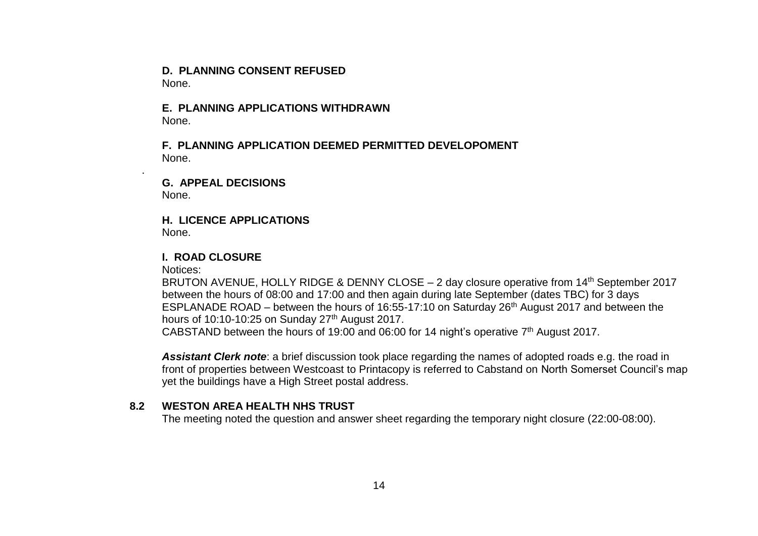**D. PLANNING CONSENT REFUSED** None.

**E. PLANNING APPLICATIONS WITHDRAWN** None.

**F. PLANNING APPLICATION DEEMED PERMITTED DEVELOPOMENT** None.

**G. APPEAL DECISIONS** None.

**H. LICENCE APPLICATIONS** None.

#### **I. ROAD CLOSURE**

Notices:

.

BRUTON AVENUE, HOLLY RIDGE & DENNY CLOSE – 2 day closure operative from 14<sup>th</sup> September 2017 between the hours of 08:00 and 17:00 and then again during late September (dates TBC) for 3 days ESPLANADE ROAD – between the hours of 16:55-17:10 on Saturday 26th August 2017 and between the hours of 10:10-10:25 on Sunday 27<sup>th</sup> August 2017. CABSTAND between the hours of 19:00 and 06:00 for 14 night's operative 7th August 2017.

Assistant Clerk note: a brief discussion took place regarding the names of adopted roads e.g. the road in

front of properties between Westcoast to Printacopy is referred to Cabstand on North Somerset Council's map yet the buildings have a High Street postal address.

# **8.2 WESTON AREA HEALTH NHS TRUST**

The meeting noted the question and answer sheet regarding the temporary night closure (22:00-08:00).